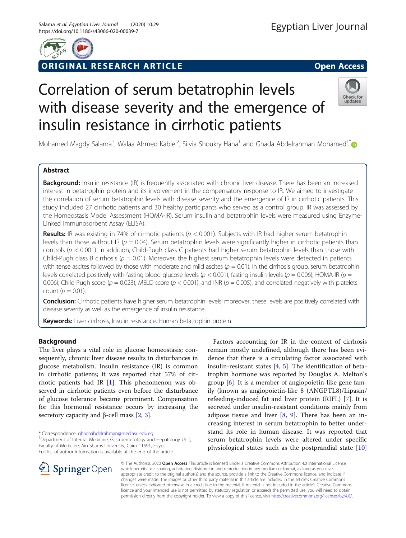

# ORIGINAL RESEARCH ARTICLE **External of the Contract Open Access**

# Correlation of serum betatrophin levels with disease severity and the emergence of insulin resistance in cirrhotic patients



Mohamed Magdy Salama<sup>1</sup>, Walaa Ahmed Kabiel<sup>2</sup>, Silvia Shoukry Hana<sup>1</sup> and Ghada Abdelrahman Mohamed<sup>1[\\*](http://orcid.org/0000-0003-0320-1011)</sup>

# Abstract

Background: Insulin resistance (IR) is frequently associated with chronic liver disease. There has been an increased interest in betatrophin protein and its involvement in the compensatory response to IR. We aimed to investigate the correlation of serum betatrophin levels with disease severity and the emergence of IR in cirrhotic patients. This study included 27 cirrhotic patients and 30 healthy participants who served as a control group. IR was assessed by the Homeostasis Model Assessment (HOMA-IR). Serum insulin and betatrophin levels were measured using Enzyme-Linked Immunosorbent Assay (ELISA).

**Results:** IR was existing in 74% of cirrhotic patients ( $p < 0.001$ ). Subjects with IR had higher serum betatrophin levels than those without IR ( $p = 0.04$ ). Serum betatrophin levels were significantly higher in cirrhotic patients than controls ( $p < 0.001$ ). In addition, Child-Pugh class C patients had higher serum betatrophin levels than those with Child-Pugh class B cirrhosis ( $p = 0.01$ ). Moreover, the highest serum betatrophin levels were detected in patients with tense ascites followed by those with moderate and mild ascites  $(p = 0.01)$ . In the cirrhosis group, serum betatrophin levels correlated positively with fasting blood glucose levels ( $p < 0.001$ ), fasting insulin levels ( $p = 0.006$ ), HOMA-IR ( $p =$ 0.006), Child-Pugh score ( $p = 0.023$ ), MELD score ( $p < 0.001$ ), and INR ( $p = 0.005$ ), and correlated negatively with platelets count ( $p = 0.01$ ).

Conclusion: Cirrhotic patients have higher serum betatrophin levels; moreover, these levels are positively correlated with disease severity as well as the emergence of insulin resistance.

Keywords: Liver cirrhosis, Insulin resistance, Human betatrophin protein

# Background

The liver plays a vital role in glucose homeostasis; consequently, chronic liver disease results in disturbances in glucose metabolism. Insulin resistance (IR) is common in cirrhotic patients; it was reported that 57% of cirrhotic patients had IR [[1\]](#page-5-0). This phenomenon was observed in cirrhotic patients even before the disturbance of glucose tolerance became prominent. Compensation for this hormonal resistance occurs by increasing the secretory capacity and β-cell mass  $[2, 3]$  $[2, 3]$  $[2, 3]$  $[2, 3]$ .

\* Correspondence: [ghadaabdelrahman@med.asu.edu.eg](mailto:ghadaabdelrahman@med.asu.edu.eg) <sup>1</sup>

Factors accounting for IR in the context of cirrhosis remain mostly undefined, although there has been evidence that there is a circulating factor associated with insulin-resistant states [[4,](#page-5-0) [5\]](#page-5-0). The identification of betatrophin hormone was reported by Douglas A. Melton's group [\[6](#page-5-0)]. It is a member of angiopoietin-like gene family (known as angiopoietin-like 8 (ANGPTL8)/Lipasin/ refeeding-induced fat and liver protein (RIFL) [\[7](#page-5-0)]. It is secreted under insulin-resistant conditions mainly from adipose tissue and liver  $[8, 9]$  $[8, 9]$  $[8, 9]$  $[8, 9]$ . There has been an increasing interest in serum betatrophin to better understand its role in human disease. It was reported that serum betatrophin levels were altered under specific physiological states such as the postprandial state [\[10](#page-5-0)]



© The Author(s). 2020 Open Access This article is licensed under a Creative Commons Attribution 4.0 International License, which permits use, sharing, adaptation, distribution and reproduction in any medium or format, as long as you give appropriate credit to the original author(s) and the source, provide a link to the Creative Commons licence, and indicate if changes were made. The images or other third party material in this article are included in the article's Creative Commons licence, unless indicated otherwise in a credit line to the material. If material is not included in the article's Creative Commons licence and your intended use is not permitted by statutory regulation or exceeds the permitted use, you will need to obtain permission directly from the copyright holder. To view a copy of this licence, visit <http://creativecommons.org/licenses/by/4.0/>.

<sup>&</sup>lt;sup>1</sup> Department of Internal Medicine, Gastroenterology and Hepatology Unit, Faculty of Medicine, Ain Shams University, Cairo 11591, Egypt Full list of author information is available at the end of the article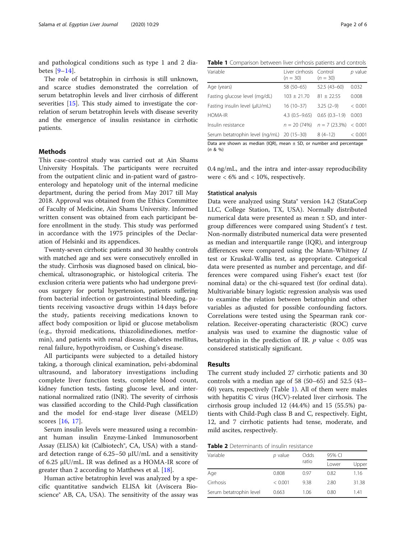<span id="page-1-0"></span>and pathological conditions such as type 1 and 2 diabetes [\[9](#page-5-0)–[14](#page-5-0)].

The role of betatrophin in cirrhosis is still unknown, and scarce studies demonstrated the correlation of serum betatrophin levels and liver cirrhosis of different severities [\[15\]](#page-5-0). This study aimed to investigate the correlation of serum betatrophin levels with disease severity and the emergence of insulin resistance in cirrhotic patients.

## Methods

This case-control study was carried out at Ain Shams University Hospitals. The participants were recruited from the outpatient clinic and in-patient ward of gastroenterology and hepatology unit of the internal medicine department, during the period from May 2017 till May 2018. Approval was obtained from the Ethics Committee of Faculty of Medicine, Ain Shams University. Informed written consent was obtained from each participant before enrollment in the study. This study was performed in accordance with the 1975 principles of the Declaration of Helsinki and its appendices.

Twenty-seven cirrhotic patients and 30 healthy controls with matched age and sex were consecutively enrolled in the study. Cirrhosis was diagnosed based on clinical, biochemical, ultrasonographic, or histological criteria. The exclusion criteria were patients who had undergone previous surgery for portal hypertension, patients suffering from bacterial infection or gastrointestinal bleeding, patients receiving vasoactive drugs within 14 days before the study, patients receiving medications known to affect body composition or lipid or glucose metabolism (e.g., thyroid medications, thiazolidinediones, metformin), and patients with renal disease, diabetes mellitus, renal failure, hypothyroidism, or Cushing's disease.

All participants were subjected to a detailed history taking, a thorough clinical examination, pelvi-abdominal ultrasound, and laboratory investigations including complete liver function tests, complete blood count, kidney function tests, fasting glucose level, and international normalized ratio (INR). The severity of cirrhosis was classified according to the Child-Pugh classification and the model for end-stage liver disease (MELD) scores [[16,](#page-5-0) [17\]](#page-5-0).

Serum insulin levels were measured using a recombinant human insulin Enzyme-Linked Immunosorbent Assay (ELISA) kit (Calbiotech®, CA, USA) with a standard detection range of 6.25–50 μIU/mL and a sensitivity of 6.25 μIU/mL. IR was defined as a HOMA-IR score of greater than 2 according to Matthews et al. [\[18\]](#page-5-0).

Human active betatrophin level was analyzed by a specific quantitative sandwich ELISA kit (Aviscera Bioscience® AB, CA, USA). The sensitivity of the assay was

Table 1 Comparison between liver cirrhosis patients and controls

| Variable                                   | Liver cirrhosis Control<br>$(n = 30)$ | $(n = 30)$      | $p$ value |
|--------------------------------------------|---------------------------------------|-----------------|-----------|
| Age (years)                                | 58 (50-65)                            | $52.5(43-60)$   | 0.032     |
| Fasting glucose level (mg/dL)              | $103 \pm 21.70$                       | $81 + 22.55$    | 0.008     |
| Fasting insulin level (µlU/mL)             | $16(10-37)$                           | $3.25(2-9)$     | < 0.001   |
| <b>HOMA-IR</b>                             | $4.3(0.5-9.65)$                       | $0.65(0.3-1.9)$ | 0.003     |
| Insulin resistance                         | $n = 20(74%)$                         | $n = 7(23.3\%)$ | < 0.001   |
| Serum betatrophin level (ng/mL) 20 (15-30) |                                       | $8(4-12)$       | < 0.001   |
|                                            |                                       |                 |           |

Data are shown as median (IOR), mean  $\pm$  SD, or number and percentage  $(n \& 96)$ 

0.4 ng/mL, and the intra and inter-assay reproducibility were  $< 6\%$  and  $< 10\%$ , respectively.

## Statistical analysis

Data were analyzed using Stata® version 14.2 (StataCorp LLC, College Station, TX, USA). Normally distributed numerical data were presented as mean  $\pm$  SD, and intergroup differences were compared using Student's  $t$  test. Non-normally distributed numerical data were presented as median and interquartile range (IQR), and intergroup differences were compared using the Mann-Whitney U test or Kruskal-Wallis test, as appropriate. Categorical data were presented as number and percentage, and differences were compared using Fisher's exact test (for nominal data) or the chi-squared test (for ordinal data). Multivariable binary logistic regression analysis was used to examine the relation between betatrophin and other variables as adjusted for possible confounding factors. Correlations were tested using the Spearman rank correlation. Receiver-operating characteristic (ROC) curve analysis was used to examine the diagnostic value of betatrophin in the prediction of IR.  $p$  value  $< 0.05$  was considered statistically significant.

## Results

The current study included 27 cirrhotic patients and 30 controls with a median age of 58 (50–65) and 52.5 (43– 60) years, respectively (Table 1). All of them were males with hepatitis C virus (HCV)-related liver cirrhosis. The cirrhosis group included 12 (44.4%) and 15 (55.5%) patients with Child-Pugh class B and C, respectively. Eight, 12, and 7 cirrhotic patients had tense, moderate, and mild ascites, respectively.

Table 2 Determinants of insulin resistance

| Variable                | p value | Odds  | 95% CI |       |  |
|-------------------------|---------|-------|--------|-------|--|
|                         |         | ratio | Lower  | Upper |  |
| Age                     | 0.808   | 0.97  | 0.82   | 1.16  |  |
| Cirrhosis               | < 0.001 | 9.38  | 2.80   | 31.38 |  |
| Serum betatrophin level | 0.663   | 1.06  | 0.80   | 1.41  |  |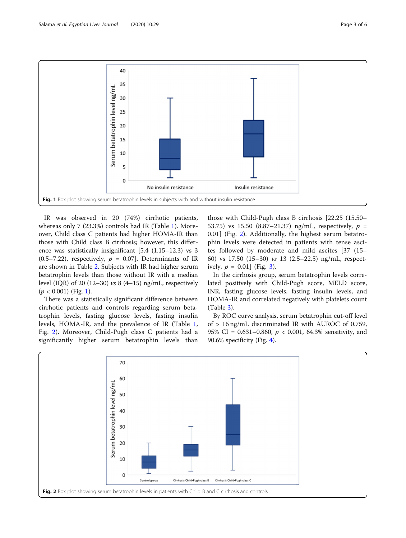

IR was observed in 20 (74%) cirrhotic patients, whereas only 7 (23.3%) controls had IR (Table [1](#page-1-0)). Moreover, Child class C patients had higher HOMA-IR than those with Child class B cirrhosis; however, this difference was statistically insignificant [5.4 (1.15–12.3) vs 3  $(0.5–7.22)$ , respectively,  $p = 0.07$ . Determinants of IR are shown in Table [2](#page-1-0). Subjects with IR had higher serum betatrophin levels than those without IR with a median level (IQR) of 20 (12–30) vs  $8(4-15)$  ng/mL, respectively  $(p < 0.001)$  (Fig. 1).

There was a statistically significant difference between cirrhotic patients and controls regarding serum betatrophin levels, fasting glucose levels, fasting insulin levels, HOMA-IR, and the prevalence of IR (Table [1](#page-1-0), Fig. 2). Moreover, Child-Pugh class C patients had a significantly higher serum betatrophin levels than those with Child-Pugh class B cirrhosis [22.25 (15.50– 53.75) vs 15.50 (8.87-21.37) ng/mL, respectively,  $p =$ 0.01] (Fig. 2). Additionally, the highest serum betatrophin levels were detected in patients with tense ascites followed by moderate and mild ascites [37 (15– 60) vs 17.50 (15–30) vs 13 (2.5–22.5) ng/mL, respectively,  $p = 0.01$  (Fig. [3](#page-3-0)).

In the cirrhosis group, serum betatrophin levels correlated positively with Child-Pugh score, MELD score, INR, fasting glucose levels, fasting insulin levels, and HOMA-IR and correlated negatively with platelets count (Table [3\)](#page-3-0).

By ROC curve analysis, serum betatrophin cut-off level of > 16 ng/mL discriminated IR with AUROC of 0.759, 95% CI =  $0.631 - 0.860$ ,  $p < 0.001$ , 64.3% sensitivity, and 90.6% specificity (Fig. [4](#page-4-0)).

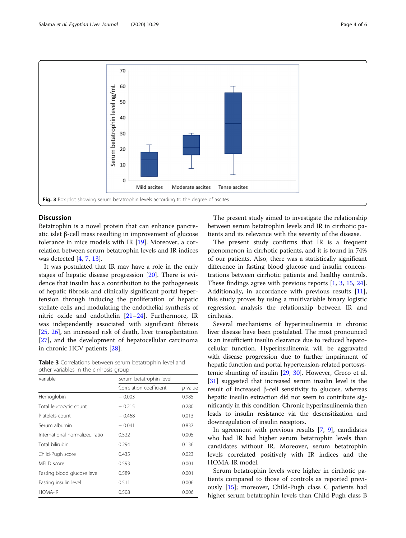<span id="page-3-0"></span>

## **Discussion**

Betatrophin is a novel protein that can enhance pancreatic islet β-cell mass resulting in improvement of glucose tolerance in mice models with IR [[19\]](#page-5-0). Moreover, a correlation between serum betatrophin levels and IR indices was detected [\[4](#page-5-0), [7](#page-5-0), [13\]](#page-5-0).

It was postulated that IR may have a role in the early stages of hepatic disease progression [[20](#page-5-0)]. There is evidence that insulin has a contribution to the pathogenesis of hepatic fibrosis and clinically significant portal hypertension through inducing the proliferation of hepatic stellate cells and modulating the endothelial synthesis of nitric oxide and endothelin [[21](#page-5-0)–[24](#page-5-0)]. Furthermore, IR was independently associated with significant fibrosis [[25,](#page-5-0) [26](#page-5-0)], an increased risk of death, liver transplantation [[27\]](#page-5-0), and the development of hepatocellular carcinoma in chronic HCV patients [[28](#page-5-0)].

Table 3 Correlations between serum betatrophin level and other variables in the cirrhosis group

| Variable                       | Serum betatrophin level |           |  |  |
|--------------------------------|-------------------------|-----------|--|--|
|                                | Correlation coefficient | $p$ value |  |  |
| Hemoglobin                     | $-0.003$                | 0.985     |  |  |
| Total leucocytic count         | $-0.215$                | 0.280     |  |  |
| Platelets count                | $-0.468$                | 0.013     |  |  |
| Serum albumin                  | $-0.041$                | 0.837     |  |  |
| International normalized ratio | 0.522                   | 0.005     |  |  |
| Total bilirubin                | 0.294                   | 0.136     |  |  |
| Child-Pugh score               | 0.435                   | 0.023     |  |  |
| MFID score                     | 0.593                   | 0.001     |  |  |
| Fasting blood glucose level    | 0.589                   | 0.001     |  |  |
| Fasting insulin level          | 0.511                   | 0.006     |  |  |
| <b>HOMA-IR</b>                 | 0.508                   | 0.006     |  |  |

The present study aimed to investigate the relationship between serum betatrophin levels and IR in cirrhotic patients and its relevance with the severity of the disease.

The present study confirms that IR is a frequent phenomenon in cirrhotic patients, and it is found in 74% of our patients. Also, there was a statistically significant difference in fasting blood glucose and insulin concentrations between cirrhotic patients and healthy controls. These findings agree with previous reports [[1](#page-5-0), [3,](#page-5-0) [15](#page-5-0), [24](#page-5-0)]. Additionally, in accordance with previous results [\[11](#page-5-0)], this study proves by using a multivariable binary logistic regression analysis the relationship between IR and cirrhosis.

Several mechanisms of hyperinsulinemia in chronic liver disease have been postulated. The most pronounced is an insufficient insulin clearance due to reduced hepatocellular function. Hyperinsulinemia will be aggravated with disease progression due to further impairment of hepatic function and portal hypertension-related portosystemic shunting of insulin [[29](#page-5-0), [30\]](#page-5-0). However, Greco et al. [[31](#page-5-0)] suggested that increased serum insulin level is the result of increased β-cell sensitivity to glucose, whereas hepatic insulin extraction did not seem to contribute significantly in this condition. Chronic hyperinsulinemia then leads to insulin resistance via the desensitization and downregulation of insulin receptors.

In agreement with previous results [\[7](#page-5-0), [9\]](#page-5-0), candidates who had IR had higher serum betatrophin levels than candidates without IR. Moreover, serum betatrophin levels correlated positively with IR indices and the HOMA-IR model.

Serum betatrophin levels were higher in cirrhotic patients compared to those of controls as reported previously [[15\]](#page-5-0); moreover, Child-Pugh class C patients had higher serum betatrophin levels than Child-Pugh class B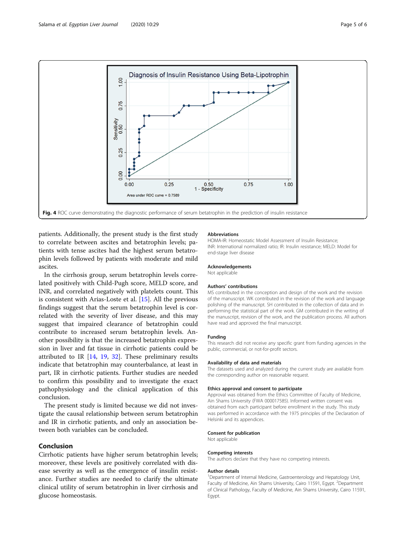<span id="page-4-0"></span>

patients. Additionally, the present study is the first study to correlate between ascites and betatrophin levels; patients with tense ascites had the highest serum betatrophin levels followed by patients with moderate and mild ascites.

In the cirrhosis group, serum betatrophin levels correlated positively with Child-Pugh score, MELD score, and INR, and correlated negatively with platelets count. This is consistent with Arias-Loste et al. [[15\]](#page-5-0). All the previous findings suggest that the serum betatrophin level is correlated with the severity of liver disease, and this may suggest that impaired clearance of betatrophin could contribute to increased serum betatrophin levels. Another possibility is that the increased betatrophin expression in liver and fat tissue in cirrhotic patients could be attributed to IR [[14,](#page-5-0) [19](#page-5-0), [32\]](#page-5-0). These preliminary results indicate that betatrophin may counterbalance, at least in part, IR in cirrhotic patients. Further studies are needed to confirm this possibility and to investigate the exact pathophysiology and the clinical application of this conclusion.

The present study is limited because we did not investigate the causal relationship between serum betatrophin and IR in cirrhotic patients, and only an association between both variables can be concluded.

# Conclusion

Cirrhotic patients have higher serum betatrophin levels; moreover, these levels are positively correlated with disease severity as well as the emergence of insulin resistance. Further studies are needed to clarify the ultimate clinical utility of serum betatrophin in liver cirrhosis and glucose homeostasis.

#### Abbreviations

HOMA-IR: Homeostatic Model Assessment of Insulin Resistance; INR: International normalized ratio; IR: Insulin resistance; MELD: Model for end-stage liver disease

#### Acknowledgements

Not applicable

#### Authors' contributions

MS contributed in the conception and design of the work and the revision of the manuscript. WK contributed in the revision of the work and language polishing of the manuscript. SH contributed in the collection of data and in performing the statistical part of the work. GM contributed in the writing of the manuscript, revision of the work, and the publication process. All authors have read and approved the final manuscript.

#### Funding

This research did not receive any specific grant from funding agencies in the public, commercial, or not-for-profit sectors.

#### Availability of data and materials

The datasets used and analyzed during the current study are available from the corresponding author on reasonable request.

#### Ethics approval and consent to participate

Approval was obtained from the Ethics Committee of Faculty of Medicine, Ain Shams University (FWA 000017585). Informed written consent was obtained from each participant before enrollment in the study. This study was performed in accordance with the 1975 principles of the Declaration of Helsinki and its appendices.

#### Consent for publication

Not applicable

#### Competing interests

The authors declare that they have no competing interests.

#### Author details

<sup>1</sup>Department of Internal Medicine, Gastroenterology and Hepatology Unit Faculty of Medicine, Ain Shams University, Cairo 11591, Egypt. <sup>2</sup>Department of Clinical Pathology, Faculty of Medicine, Ain Shams University, Cairo 11591, Egypt.